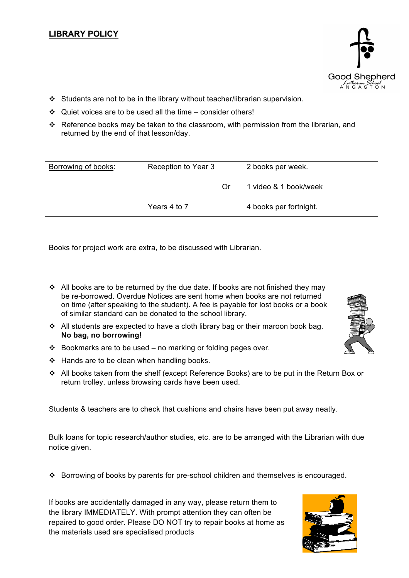- $\div$  Students are not to be in the library without teacher/librarian supervision.
- $\div$  Quiet voices are to be used all the time consider others!
- Reference books may be taken to the classroom, with permission from the librarian, and returned by the end of that lesson/day.

| Borrowing of books: | Reception to Year 3 |    | 2 books per week.      |
|---------------------|---------------------|----|------------------------|
|                     |                     | Or | 1 video & 1 book/week  |
|                     | Years 4 to 7        |    | 4 books per fortnight. |

Books for project work are extra, to be discussed with Librarian.

- $\div$  All books are to be returned by the due date. If books are not finished they may be re-borrowed. Overdue Notices are sent home when books are not returned on time (after speaking to the student). A fee is payable for lost books or a book of similar standard can be donated to the school library.
- $\div$  All students are expected to have a cloth library bag or their maroon book bag. **No bag, no borrowing!**
- $\div$  Bookmarks are to be used no marking or folding pages over.
- $\div$  Hands are to be clean when handling books.
- All books taken from the shelf (except Reference Books) are to be put in the Return Box or return trolley, unless browsing cards have been used.

Students & teachers are to check that cushions and chairs have been put away neatly.

Bulk loans for topic research/author studies, etc. are to be arranged with the Librarian with due notice given.

Borrowing of books by parents for pre-school children and themselves is encouraged.

If books are accidentally damaged in any way, please return them to the library IMMEDIATELY. With prompt attention they can often be repaired to good order. Please DO NOT try to repair books at home as the materials used are specialised products





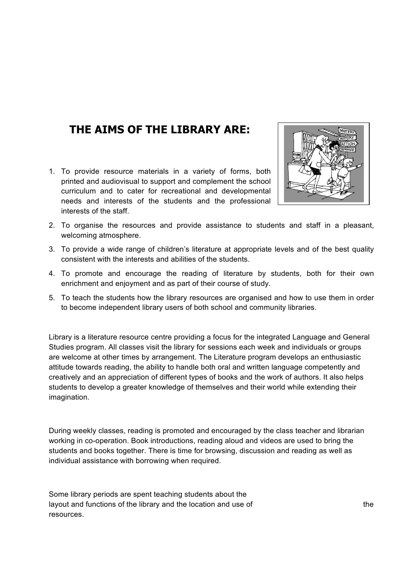## **THE AIMS OF THE LIBRARY ARE:**

1. To provide resource materials in a variety of forms, both printed and audiovisual to support and complement the school curriculum and to cater for recreational and developmental needs and interests of the students and the professional interests of the staff.



- 2. To organise the resources and provide assistance to students and staff in a pleasant, welcoming atmosphere.
- 3. To provide a wide range of children's literature at appropriate levels and of the best quality consistent with the interests and abilities of the students.
- 4. To promote and encourage the reading of literature by students, both for their own enrichment and enjoyment and as part of their course of study.
- 5. To teach the students how the library resources are organised and how to use them in order to become independent library users of both school and community libraries.

Library is a literature resource centre providing a focus for the integrated Language and General Studies program. All classes visit the library for sessions each week and individuals or groups are welcome at other times by arrangement. The Literature program develops an enthusiastic attitude towards reading, the ability to handle both oral and written language competently and creatively and an appreciation of different types of books and the work of authors. It also helps students to develop a greater knowledge of themselves and their world while extending their imagination.

During weekly classes, reading is promoted and encouraged by the class teacher and librarian working in co-operation. Book introductions, reading aloud and videos are used to bring the students and books together. There is time for browsing, discussion and reading as well as individual assistance with borrowing when required.

Some library periods are spent teaching students about the layout and functions of the library and the location and use of the resources.